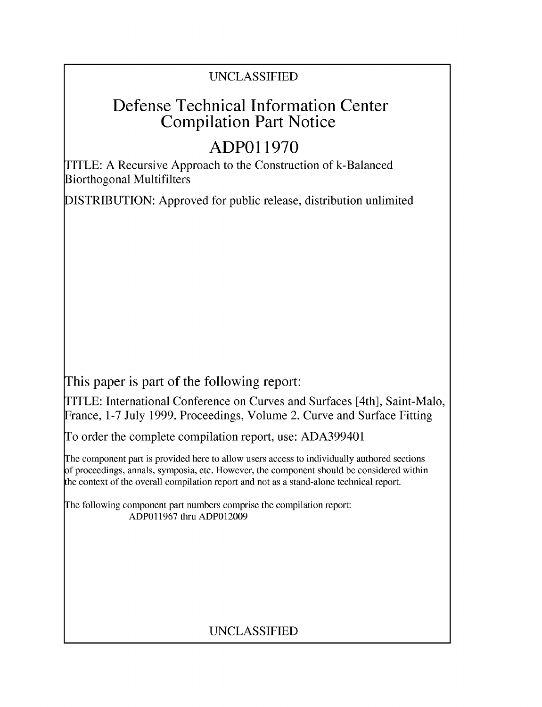### UNCLASSIFIED

## Defense Technical Information Center Compilation Part Notice

# **ADPO 11970**

TITLE: A Recursive Approach to the Construction of k-Balanced Biorthogonal Multifilters

DISTRIBUTION: Approved for public release, distribution unlimited

This paper is part of the following report:

TITLE: International Conference on Curves and Surfaces [4th], Saint-Malo, France, 1-7 July 1999. Proceedings, Volume 2. Curve and Surface Fitting

To order the complete compilation report, use: ADA399401

The component part is provided here to allow users access to individually authored sections f proceedings, annals, symposia, etc. However, the component should be considered within [he context of the overall compilation report and not as a stand-alone technical report.

The following component part numbers comprise the compilation report: ADP011967 thru ADPO12009

### UNCLASSIFIED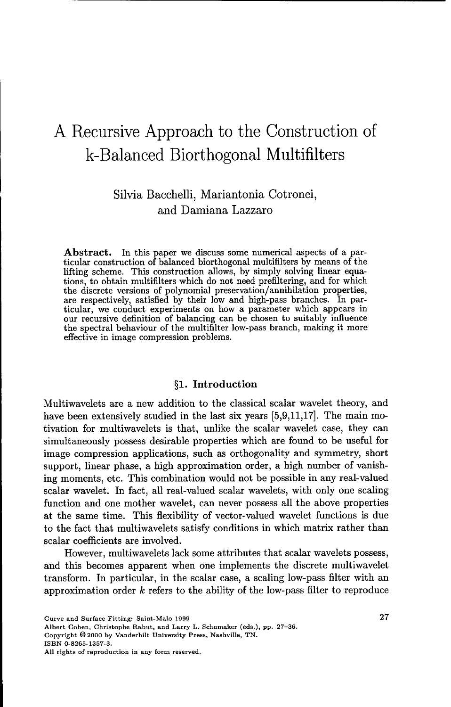## A Recursive Approach to the Construction of k-Balanced Biorthogonal Multifilters

### Silvia Bacchelli, Mariantonia Cotronei, and Damiana Lazzaro

Abstract. In this paper we discuss some numerical aspects of a particular construction of balanced biorthogonal multifilters by means of the lifting scheme. This construction allows, by simply solving linear equations, to obtain multifilters which do not need prefiltering, and for which the discrete versions of polynomial preservation/annihilation properties, are respectively, satisfied by their low and high-pass branches. In particular, we conduct experiments on how a parameter which appears in our recursive definition of balancing can be chosen to suitably influence the spectral behaviour of the multifilter low-pass branch, making it more effective in image compression problems.

#### **§1.** Introduction

Multiwavelets are a new addition to the classical scalar wavelet theory, and have been extensively studied in the last six years [5,9,11,17]. The main motivation for multiwavelets is that, unlike the scalar wavelet case, they can simultaneously possess desirable properties which are found to be useful for image compression applications, such as orthogonality and symmetry, short support, linear phase, a high approximation order, a high number of vanishing moments, etc. This combination would not be possible in any real-valued scalar wavelet. In fact, all real-valued scalar wavelets, with only one scaling function and one mother wavelet, can never possess all the above properties at the same time. This flexibility of vector-valued wavelet functions is due to the fact that multiwavelets satisfy conditions in which matrix rather than scalar coefficients are involved.

However, multiwavelets lack some attributes that scalar wavelets possess, and this becomes apparent when one implements the discrete multiwavelet transform. In particular, in the scalar case, a scaling low-pass filter with an approximation order **k** refers to the ability of the low-pass filter to reproduce

Curve and Surface Fitting: Saint-Malo 1999 27

Albert Cohen, Christophe Rabut, and Larry L. Schumaker (eds.), pp. 27-36. Copyright 02000 by Vanderbilt University Press, Nashville, TN. ISBN 0-8265-1357-3.

All rights of reproduction in any form reserved.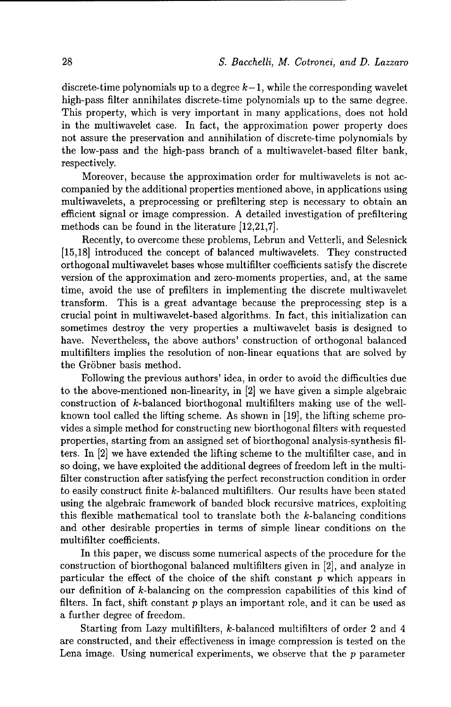discrete-time polynomials up to a degree  $k-1$ , while the corresponding wavelet high-pass filter annihilates discrete-time polynomials up to the same degree. This property, which is very important in many applications, does not hold in the multiwavelet case. In fact, the approximation power property does not assure the preservation and annihilation of discrete-time polynomials by the low-pass and the high-pass branch of a multiwavelet-based filter bank, respectively.

Moreover, because the approximation order for multiwavelets is not accompanied by the additional properties mentioned above, in applications using multiwavelets, a preprocessing or prefiltering step is necessary to obtain an efficient signal or image compression. A detailed investigation of prefiltering methods can be found in the literature [12,21,7].

Recently, to overcome these problems, Lebrun and Vetterli, and Selesnick [15,18] introduced the concept of balanced multiwavelets. They constructed orthogonal multiwavelet bases whose multifilter coefficients satisfy the discrete version of the approximation and zero-moments properties, and, at the same time, avoid the use of prefilters in implementing the discrete multiwavelet transform. This is a great advantage because the preprocessing step is a crucial point in multiwavelet-based algorithms. In fact, this initialization can sometimes destroy the very properties a multiwavelet basis is designed to have. Nevertheless, the above authors' construction of orthogonal balanced multifilters implies the resolution of non-linear equations that are solved by the Gröbner basis method.

Following the previous authors' idea, in order to avoid the difficulties due to the above-mentioned non-linearity, in [2] we have given a simple algebraic construction of k-balanced biorthogonal multifilters making use of the wellknown tool called the lifting scheme. As shown in [19], the lifting scheme provides a simple method for constructing new biorthogonal filters with requested properties, starting from an assigned set of biorthogonal analysis-synthesis filters. In [2] we have extended the lifting scheme to the multifilter case, and in so doing, we have exploited the additional degrees of freedom left in the multifilter construction after satisfying the perfect reconstruction condition in order to easily construct finite k-balanced multifilters. Our results have been stated using the algebraic framework of banded block recursive matrices, exploiting this flexible mathematical tool to translate both the  $k$ -balancing conditions and other desirable properties in terms of simple linear conditions on the multifilter coefficients.

In this paper, we discuss some numerical aspects of the procedure for the construction of biorthogonal balanced multifilters given in [2], and analyze in particular the effect of the choice of the shift constant  $p$  which appears in our definition of k-balancing on the compression capabilities of this kind of filters. In fact, shift constant  $p$  plays an important role, and it can be used as a further degree of freedom.

Starting from Lazy multifilters, k-balanced multifilters of order 2 and 4 are constructed, and their effectiveness in image compression is tested on the Lena image. Using numerical experiments, we observe that the  $p$  parameter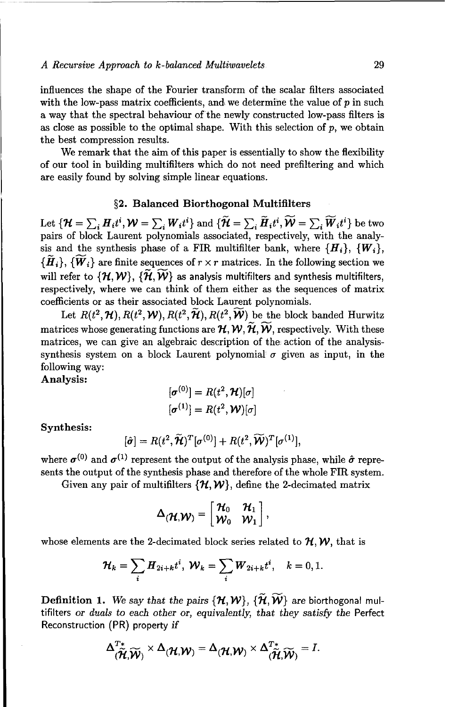#### A Recursive *Approach to* k-balanced Multiwavelets 29

influences the shape of the Fourier transform of the scalar filters associated with the low-pass matrix coefficients, and we determine the value of  $p$  in such a way that the spectral behaviour of the newly constructed low-pass filters is as close as possible to the optimal shape. With this selection of  $p$ , we obtain the best compression results.

We remark that the aim of this paper is essentially to show the flexibility of our tool in building multifilters which do not need prefiltering and which are easily found by solving simple linear equations.

#### §2. Balanced Biorthogonal Multifilters

Let  $\{\mathcal{H} = \sum_i \mathbf{H}_i t^i, \mathcal{W} = \sum_i \mathbf{W}_i t^i\}$  and  $\{\widetilde{\mathcal{H}} = \sum_i \widetilde{\mathbf{H}}_i t^i, \widetilde{\mathcal{W}} = \sum_i \widetilde{\mathbf{W}}_i t^i\}$  be two pairs of block Laurent polynomials associated, respectively, with the analysis and the synthesis phase of a FIR multifilter bank, where  $\{H_i\}$ ,  $\{W_i\}$ ,  $\{\widetilde{H}_i\}, \{\widetilde{W}_i\}$  are finite sequences of  $r \times r$  matrices. In the following section we will refer to  $\{H, W\}$ ,  $\{\widetilde{\mathcal{H}}, \widetilde{\mathcal{W}}\}$  as analysis multifilters and synthesis multifilters, respectively, where we can think of them either as the sequences of matrix coefficients or as their associated block Laurent polynomials.

Let  $R(t^2, \mathcal{H}), R(t^2, \mathcal{W}), R(t^2, \widetilde{\mathcal{H}}), R(t^2, \widetilde{\mathcal{W}})$  be the block banded Hurwitz matrices whose generating functions are  $\mathcal{H}, \mathcal{W}, \widetilde{\mathcal{H}}, \widetilde{\mathcal{W}}$ , respectively. With these matrices, we can give an algebraic description of the action of the analysissynthesis system on a block Laurent polynomial  $\sigma$  given as input, in the following way:

Analysis:

$$
[\boldsymbol{\sigma}^{(0)}] = R(t^2, \boldsymbol{\mathcal{H}})[\sigma]
$$

$$
[\boldsymbol{\sigma}^{(1)}] = R(t^2, \boldsymbol{\mathcal{W}})[\sigma]
$$

Synthesis:

$$
[\hat{\pmb\sigma}]=R(t^2,\widetilde{\pmb{\mathcal{H}}})^T[\sigma^{(0)}]+R(t^2,\widetilde{\pmb{\mathcal{W}}})^T[\sigma^{(1)}],
$$

where  $\sigma^{(0)}$  and  $\sigma^{(1)}$  represent the output of the analysis phase, while  $\hat{\sigma}$  represents the output of the synthesis phase and therefore of the whole FIR system.

Given any pair of multifilters  $\{\mathcal{H}, \mathcal{W}\}\)$ , define the 2-decimated matrix

$$
\Delta_{(\boldsymbol{\mathcal{H}},\boldsymbol{\mathcal{W}})}=\left[\begin{matrix} \boldsymbol{\mathcal{H}}_0 & \boldsymbol{\mathcal{H}}_1 \\ \boldsymbol{\mathcal{W}}_0 & \boldsymbol{\mathcal{W}}_1 \end{matrix}\right],
$$

whose elements are the 2-decimated block series related to  $H, W$ , that is

$$
\mathcal{H}_k=\sum_i\boldsymbol{H}_{2i+k}t^i,\ \boldsymbol{\mathcal{W}}_k=\sum_i\boldsymbol{W}_{2i+k}t^i,\quad k=0,1.
$$

**Definition 1.** We say that the pairs  $\{H, W\}$ ,  $\{\widetilde{H}, \widetilde{W}\}$  are biorthogonal multifilters or duals to each *other or,* equivalently, that *they satisfy* the Perfect Reconstruction (PR) property if

$$
\Delta_{(\widetilde{\mathcal{H}},\widetilde{\mathcal{W}})}^{T*}\times \Delta_{(\mathcal{H},\mathcal{W})}=\Delta_{(\mathcal{H},\mathcal{W})}\times \Delta_{(\widetilde{\mathcal{H}},\widetilde{\mathcal{W}})}^{T*}=I.
$$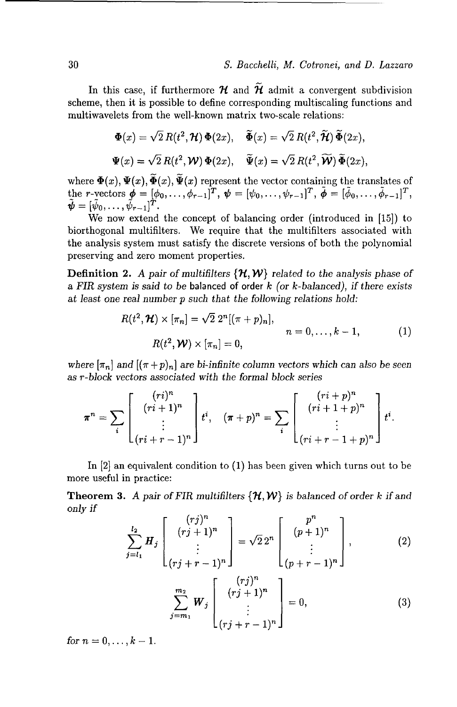In this case, if furthermore  $\mathcal{H}$  and  $\widetilde{\mathcal{H}}$  admit a convergent subdivision scheme, then it is possible to define corresponding multiscaling functions and multiwavelets from the well-known matrix two-scale relations:

$$
\Phi(x) = \sqrt{2} R(t^2, \mathcal{H}) \Phi(2x), \quad \widetilde{\Phi}(x) = \sqrt{2} R(t^2, \widetilde{\mathcal{H}}) \widetilde{\Phi}(2x),
$$
  

$$
\Psi(x) = \sqrt{2} R(t^2, \mathcal{W}) \Phi(2x), \quad \widetilde{\Psi}(x) = \sqrt{2} R(t^2, \widetilde{\mathcal{W}}) \widetilde{\Phi}(2x).
$$

where  $\mathbf{\Phi}(x)$ ,  $\mathbf{\Psi}(x)$ ,  $\widetilde{\mathbf{\Phi}}(x)$ ,  $\widetilde{\mathbf{\Psi}}(x)$  represent the vector containing the translates of the *r*-vectors  $\phi = [\phi_0, ..., \phi_{r-1}]^T$ ,  $\psi = [\psi_0, ..., \psi_{r-1}]^T$ ,  $\tilde{\phi} = [\tilde{\phi}_0, ..., \tilde{\phi}_{r-1}]^T$ ,  $\tilde{\psi} = [\tilde{\psi}_0, \ldots, \tilde{\psi}_{r-1}]^T.$ 

We now extend the concept of balancing order (introduced in [15]) to biorthogonal multifilters. We require that the multifilters associated with the analysis system must satisfy the discrete versions of both the polynomial preserving and zero moment properties.

**Definition 2.** A pair of multifilters  $\{\mathcal{H}, \mathcal{W}\}\$  related to the analysis phase of a *FIR system* is said to be balanced of order *k* (or *k-balanced), if* there exists at least one real *number p such* that *the* following relations *hold:*

$$
R(t^2, \mathcal{H}) \times [\pi_n] = \sqrt{2} 2^n [(\pi + p)_n],
$$
  
\n
$$
n = 0, \dots, k - 1,
$$
  
\n
$$
R(t^2, \mathcal{W}) \times [\pi_n] = 0,
$$
  
\n(1)

where  $[\pi_n]$  and  $[(\pi + p)_n]$  are bi-infinite column vectors which can also be seen as *r-block vectors associated with the formal block series*

$$
\pi^{n} = \sum_{i} \left[ \begin{array}{c} (ri)^{n} \\ (ri+1)^{n} \\ \vdots \\ (ri+r-1)^{n} \end{array} \right] t^{i}, \quad (\pi+p)^{n} = \sum_{i} \left[ \begin{array}{c} (ri+p)^{n} \\ (ri+1+p)^{n} \\ \vdots \\ (ri+r-1+p)^{n} \end{array} \right] t^{i}.
$$

In [2] an equivalent condition to (1) has been given which turns out to be more useful in practice:

**Theorem 3.** A pair of FIR multifilters  $\{H, W\}$  is balanced of order k if and  $only if$ 

$$
\sum_{j=l_1}^{l_2} H_j \begin{bmatrix} (rj)^n \\ (rj+1)^n \\ \vdots \\ (rj+r-1)^n \end{bmatrix} = \sqrt{2} 2^n \begin{bmatrix} p^n \\ (p+1)^n \\ \vdots \\ (p+r-1)^n \end{bmatrix},
$$
(2)  

$$
\sum_{j=m_1}^{m_2} W_j \begin{bmatrix} (rj)^n \\ (rj+1)^n \\ \vdots \\ (rj+r-1)^n \end{bmatrix} = 0,
$$
(3)

*for*  $n = 0, \ldots, k - 1$ .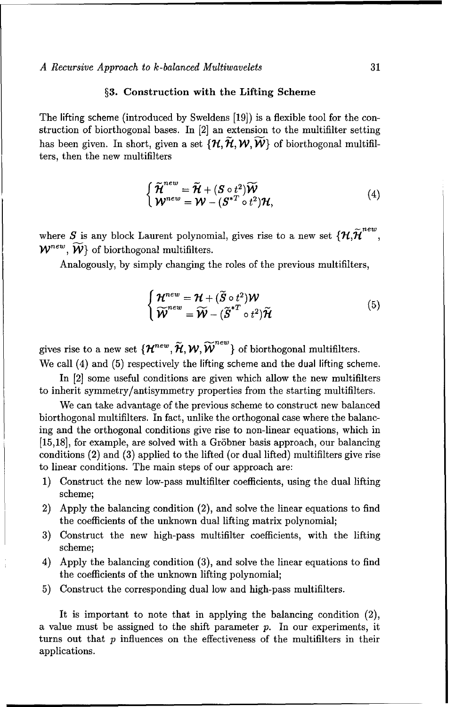#### §3. Construction with the Lifting Scheme

The lifting scheme (introduced by Sweldens [19]) is a flexible tool for the construction of biorthogonal bases. In [2] an extension to the multifilter setting has been given. In short, given a set  $\{\mathcal{H}, \tilde{\mathcal{H}}, \mathcal{W}, \tilde{\mathcal{W}}\}$  of biorthogonal multifilters, then the new multifilters

$$
\begin{cases}\n\widetilde{\boldsymbol{\mathcal{H}}}^{new} = \widetilde{\boldsymbol{\mathcal{H}}} + (\boldsymbol{S} \circ t^2) \widetilde{\boldsymbol{\mathcal{W}}}\\
\boldsymbol{\mathcal{W}}^{new} = \boldsymbol{\mathcal{W}} - (\boldsymbol{S}^{*T} \circ t^2) \boldsymbol{\mathcal{H}},\n\end{cases} \tag{4}
$$

where *S* is any block Laurent polynomial, gives rise to a new set  $\{H, \widetilde{H}^{new},\}$  $W^{new}$ ,  $\widetilde{W}$  of biorthogonal multifilters.

Analogously, by simply changing the roles of the previous multifilters,

$$
\begin{cases}\n\mathcal{H}^{new} = \mathcal{H} + (\widetilde{S} \circ t^2) \mathcal{W} \\
\widetilde{\mathcal{W}}^{new} = \widetilde{\mathcal{W}} - (\widetilde{S}^{*T} \circ t^2) \widetilde{\mathcal{H}}\n\end{cases}
$$
\n(5)

gives rise to a new set  $\{ \mathcal{H}^{new}, \widetilde{\mathcal{H}}, \mathcal{W}, \widetilde{\mathcal{W}}^{new} \}$  of biorthogonal multifilters. We call (4) and (5) respectively the lifting scheme and the dual lifting scheme.

In [2] some useful conditions are given which allow the new multifilters to inherit symmetry/antisymmetry properties from the starting multifilters.

We can take advantage of the previous scheme to construct new balanced biorthogonal multifilters. In fact, unlike the orthogonal case where the balancing and the orthogonal conditions give rise to non-linear equations, which in  $[15,18]$ , for example, are solved with a Gröbner basis approach, our balancing conditions (2) and (3) applied to the lifted (or dual lifted) multifilters give rise to linear conditions. The main steps of our approach are:

- 1) Construct the new low-pass multifilter coefficients, using the dual lifting scheme;
- 2) Apply the balancing condition (2), and solve the linear equations to find the coefficients of the unknown dual lifting matrix polynomial;
- 3) Construct the new high-pass multifilter coefficients, with the lifting scheme;
- 4) Apply the balancing condition (3), and solve the linear equations to find the coefficients of the unknown lifting polynomial;
- 5) Construct the corresponding dual low and high-pass multifilters.

It is important to note that in applying the balancing condition (2), a value must be assigned to the shift parameter  $p$ . In our experiments, it turns out that  $p$  influences on the effectiveness of the multifilters in their applications.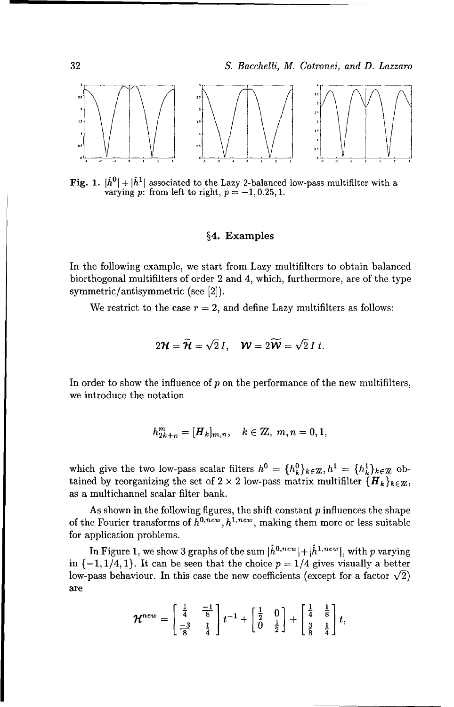

**Fig. 1.**  $|\hat{h}^0| + |\hat{h}^1|$  associated to the Lazy 2-balanced low-pass multifilter with a varying p: from left to right,  $p = -1, 0.25, 1$ .

#### §4. Examples

In the following example, we start from Lazy multifilters to obtain balanced biorthogonal multifilters of order 2 and 4, which, furthermore, are of the type symmetric/antisymmetric (see [2]).

We restrict to the case  $r = 2$ , and define Lazy multifilters as follows:

$$
2\mathcal{H}=\widetilde{\mathcal{H}}=\sqrt{2}\,I,\quad \mathcal{W}=2\widetilde{\mathcal{W}}=\sqrt{2}\,I\;t.
$$

In order to show the influence of  $p$  on the performance of the new multifilters, we introduce the notation

$$
h_{2k+n}^m=[H_k]_{m,n},\quad k\in\mathbb{Z},\ m,n=0,1,
$$

which give the two low-pass scalar filters  $h^0 = \{h_k^0\}_{k \in \mathbb{Z}}, h^1 = \{h_k^1\}_{k \in \mathbb{Z}}$  obtained by reorganizing the set of  $2 \times 2$  low-pass matrix multifilter  ${H_k}_{k \in \mathbb{Z}}$ , as a multichannel scalar filter bank.

As shown in the following figures, the shift constant  $p$  influences the shape of the Fourier transforms of  $h^{0,new}, h^{1,new}$ , making them more or less suitable for application problems.

In Figure 1, we show 3 graphs of the sum  $|\hat{h}^{0,new}|+|\hat{h}^{1,new}|$ , with p varying in  $\{-1, 1/4, 1\}$ . It can be seen that the choice  $p = 1/4$  gives visually a better low-pass behaviour. In this case the new coefficients (except for a factor  $\sqrt{2}$ ) are

$$
\mathcal{H}^{new} = \begin{bmatrix} \frac{1}{4} & \frac{-1}{8} \\ \frac{-3}{8} & \frac{1}{4} \end{bmatrix} t^{-1} + \begin{bmatrix} \frac{1}{2} & 0 \\ 0 & \frac{1}{2} \end{bmatrix} + \begin{bmatrix} \frac{1}{4} & \frac{1}{8} \\ \frac{3}{8} & \frac{1}{4} \end{bmatrix} t,
$$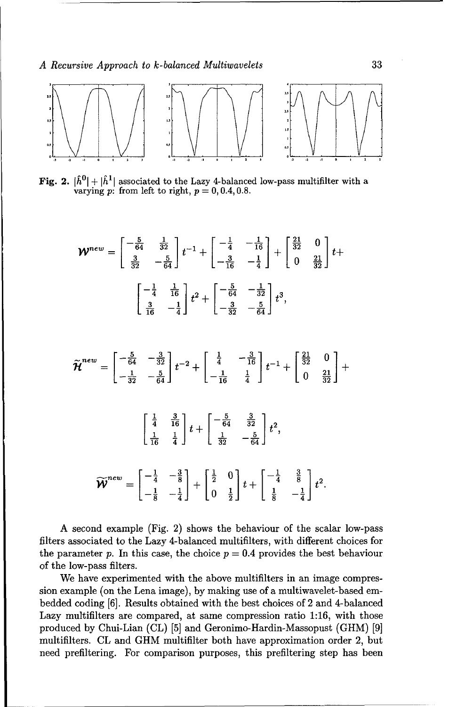

**Fig. 2.**  $|\hat{h}^0| + |\hat{h}^1|$  associated to the Lazy 4-balanced low-pass multifilter with a varying p: from left to right,  $p = 0, 0.4, 0.8$ .

$$
\mathcal{W}^{new} = \begin{bmatrix} -\frac{5}{64} & \frac{1}{32} \\ \frac{3}{32} & -\frac{5}{64} \end{bmatrix} t^{-1} + \begin{bmatrix} -\frac{1}{4} & -\frac{1}{16} \\ -\frac{3}{16} & -\frac{1}{4} \end{bmatrix} + \begin{bmatrix} \frac{21}{32} & 0 \\ 0 & \frac{21}{32} \end{bmatrix} t + \begin{bmatrix} -\frac{1}{4} & \frac{1}{16} \\ \frac{3}{16} & -\frac{1}{4} \end{bmatrix} t^2 + \begin{bmatrix} -\frac{5}{64} & -\frac{1}{32} \\ -\frac{3}{32} & -\frac{5}{64} \end{bmatrix} t^3,
$$

$$
\widetilde{\mathcal{H}}^{new} = \begin{bmatrix} -\frac{5}{64} & -\frac{3}{32} \\ -\frac{1}{32} & -\frac{5}{64} \end{bmatrix} t^{-2} + \begin{bmatrix} \frac{1}{4} & -\frac{3}{16} \\ -\frac{1}{16} & \frac{1}{4} \end{bmatrix} t^{-1} + \begin{bmatrix} \frac{21}{32} & 0 \\ 0 & \frac{21}{32} \end{bmatrix} + \begin{bmatrix} \frac{1}{4} & \frac{3}{16} \\ \frac{1}{16} & \frac{1}{4} \end{bmatrix} t + \begin{bmatrix} -\frac{5}{64} & \frac{3}{32} \\ \frac{1}{32} & -\frac{5}{64} \end{bmatrix} t^{2},
$$

$$
\widetilde{\mathcal{W}}^{new} = \begin{bmatrix} -\frac{1}{4} & -\frac{3}{8} \\ -\frac{1}{8} & -\frac{1}{4} \end{bmatrix} + \begin{bmatrix} \frac{1}{2} & 0 \\ 0 & \frac{1}{2} \end{bmatrix} t + \begin{bmatrix} -\frac{1}{4} & \frac{3}{8} \\ \frac{1}{8} & -\frac{1}{4} \end{bmatrix} t^{2}.
$$

A second example (Fig. 2) shows the behaviour of the scalar low-pass filters associated to the Lazy 4-balanced multifilters, with different choices for the parameter p. In this case, the choice  $p = 0.4$  provides the best behaviour of the low-pass filters.

We have experimented with the above multifilters in an image compression example (on the Lena image), by making use of a multiwavelet-based embedded coding [6]. Results obtained with the best choices of 2 and 4-balanced Lazy multifilters are compared, at same compression ratio 1:16, with those produced by Chui-Lian (CL) [5] and Geronimo-Hardin-Massopust (GHM) [9] multifilters. CL and GHM multifilter both have approximation order 2, but need prefiltering. For comparison purposes, this prefiltering step has been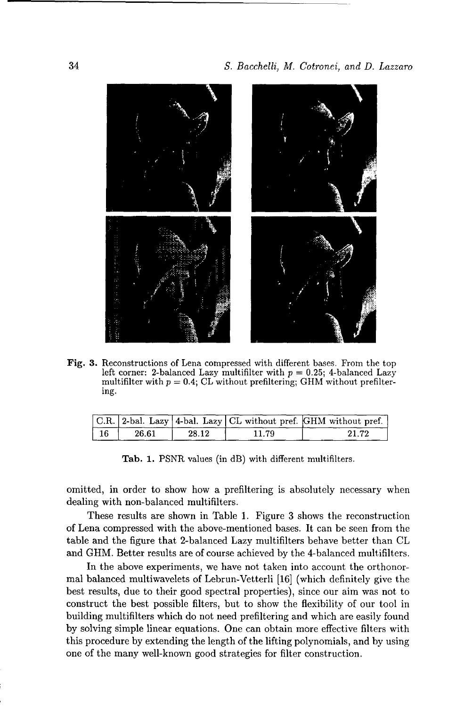

Fig. **3.** Reconstructions of Lena compressed with different bases. From the top left corner: 2-balanced Lazy multifilter with  $p = 0.25$ ; 4-balanced Lazy multifilter with  $p = 0.4$ ; CL without prefiltering; GHM without prefiltering.

|      |       |       |       | C.R. 2-bal. Lazy   4-bal. Lazy   CL without pref. GHM without pref. |
|------|-------|-------|-------|---------------------------------------------------------------------|
| - 16 | 26.61 | 28.12 | 11.79 | 21.72                                                               |

Tab. 1. PSNR values (in dB) with different multifilters.

omitted, in order to show how a prefiltering is absolutely necessary when dealing with non-balanced multifilters.

These results are shown in Table 1. Figure 3 shows the reconstruction of Lena compressed with the above-mentioned bases. It can be seen from the table and the figure that 2-balanced Lazy multifilters behave better than CL and GHM. Better results are of course achieved by the 4-balanced multifilters.

In the above experiments, we have not taken into account the orthonormal balanced multiwavelets of Lebrun-Vetterli [16] (which definitely give the best results, due to their good spectral properties), since our aim was not to construct the best possible filters, but to show the flexibility of our tool in building multifilters which do not need prefiltering and which are easily found by solving simple linear equations. One can obtain more effective filters with this procedure by extending the length of the lifting polynomials, and by using one of the many well-known good strategies for filter construction.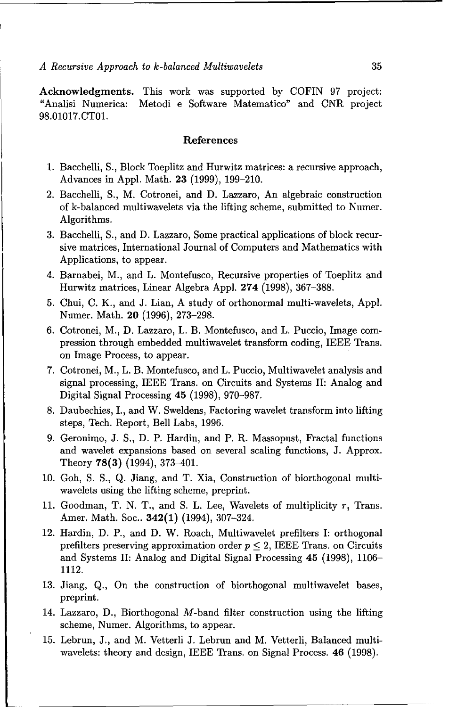#### *A Recursive Approach to* k-balanced Multiwavelets 35

Acknowledgments. This work was supported by COFIN 97 project: "Analisi Numerica: Metodi e Software Matematico" and CNR project 98.01017.CT01.

#### References

- 1. Bacchelli, S., Block Toeplitz and Hurwitz matrices: a recursive approach, Advances in Appl. Math. 23 (1999), 199-210.
- 2. Bacchelli, S., M. Cotronei, and D. Lazzaro, An algebraic construction of k-balanced multiwavelets via the lifting scheme, submitted to Numer. Algorithms.
- 3. Bacchelli, S., and D. Lazzaro, Some practical applications of block recursive matrices, International Journal of Computers and Mathematics with Applications, to appear.
- 4. Barnabei, M., and L. Montefusco, Recursive properties of Toeplitz and Hurwitz matrices, Linear Algebra Appl. 274 (1998), 367-388.
- 5. Chui, C. K., and J. Lian, A study of orthonormal multi-wavelets, **Appl.** Numer. Math. 20 (1996), 273-298.
- 6. Cotronei, M., D. Lazzaro, L. B. Montefusco, and L. Puccio, Image compression through embedded multiwavelet transform coding, IEEE Trans. on Image Process, to appear.
- 7. Cotronei, M., L. B. Montefusco, and L. Puccio, Multiwavelet analysis and signal processing, IEEE Trans. on Circuits and Systems II: Analog and Digital Signal Processing 45 (1998), 970-987.
- 8. Daubechies, I., and W. Sweldens, Factoring wavelet transform into lifting steps, Tech. Report, Bell Labs, 1996.
- 9. Geronimo, J. **S.,** D. P. Hardin, and P. R. Massopust, Fractal functions and wavelet expansions based on several scaling functions, J. Approx. Theory 78(3) (1994), 373-401.
- 10. Goh, S. S., Q. Jiang, and T. Xia, Construction of biorthogonal multiwavelets using the lifting scheme, preprint.
- 11. Goodman, T. N. T., and S. L. Lee, Wavelets of multiplicity r, Trans. Amer. Math. Soc.. 342(1) (1994), 307-324.
- 12. Hardin, D. P., and D. W. Roach, Multiwavelet prefilters I: orthogonal prefilters preserving approximation order  $p \leq 2$ , IEEE Trans. on Circuits and Systems II: Analog and Digital Signal Processing 45 (1998), 1106- 1112.
- 13. Jiang, Q., On the construction of biorthogonal multiwavelet bases, preprint.
- 14. Lazzaro, D., Biorthogonal M-band filter construction using the lifting scheme, Numer. Algorithms, to appear.
- 15. Lebrun, J., and M. Vetterli J. Lebrun and M. Vetterli, Balanced multiwavelets: theory and design, IEEE Trans. on Signal Process. 46 (1998).